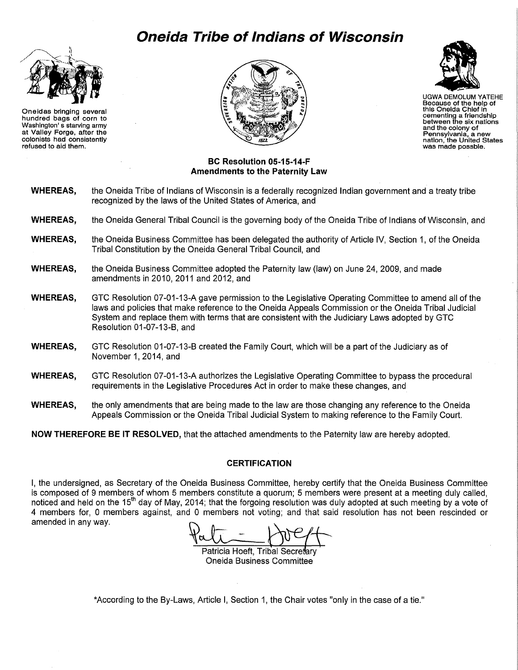# **Oneida Tribe of Indians of Wisconsin**



Oneidas bringing several hundred bags of corn to Washington' s starving army at Valley Forge, after the colonists had consistently refused to aid them.





UGWA DEMOLUM YATEHE Because of the help of this Oneida Chief In cementing a friendship between the six nations and the colony of Pennsylvania, a new nation, the United States was made possble.

#### **BC Resolution 05-15-14-F Amendments to the Paternity Law**

- **WHEREAS,** the Oneida Tribe of Indians of Wisconsin is a federally recognized Indian government and a treaty tribe recognized by the laws of the United States of America, and
- **WHEREAS,** the Oneida General Tribal Council is the governing body of the Oneida Tribe of Indians of Wisconsin, and
- **WHEREAS,** the Oneida Business Committee has been delegated the authority of Article IV, Section 1, of the Oneida Tribal Constitution by the Oneida General Tribal Council, and
- **WHEREAS,** the Oneida Business Committee adopted the Paternity law (law) on June 24, 2009, and made amendments in 2010, 2011 and 2012, and
- **WHEREAS,** GTC Resolution 07 -01-13-A gave permission to the Legislative Operating Committee to amend all of the laws and policies that make reference to the Oneida Appeals Commission or the Oneida Tribal Judicial System and replace them with terms that are consistent with the Judiciary Laws adopted by GTC Resolution 01-07-13-B, and
- **WHEREAS,** GTC Resolution 01-07-13-B created the Family Court, which will be a part of the Judiciary as of November 1, 2014, and
- **WHEREAS,** GTC Resolution 07-01-13-A authorizes the Legislative Operating Committee to bypass the procedural requirements in the Legislative Procedures Act in order to make these changes, and
- **WHEREAS,** the only amendments that are being made to the law are those changing any reference to the Oneida Appeals Commission or the Oneida Tribal Judicial System to making reference to the Family Court.

**NOW THEREFORE BE IT RESOLVED,** that the attached amendments to the Paternity law are hereby adopted.

# **CERTIFICATION**

I, the undersigned, as Secretary of the Oneida Business Committee, hereby certify that the Oneida Business Committee is composed of 9 members of whom 5 members constitute a quorum; 5 members were present at a meeting duly called, noticed and held on the 15<sup>th</sup> day of May, 2014; that the forgoing resolution was duly adopted at such meeting by a vote of 4 members for, 0 members against, and 0 members not voting; and that said resolution has not been rescinded or amended in any way.

Patricia Hoeft, Tribal Secretary Oneida Business Committee

\*According to the By-Laws, Article I, Section 1, the Chair votes "only in the case of a tie."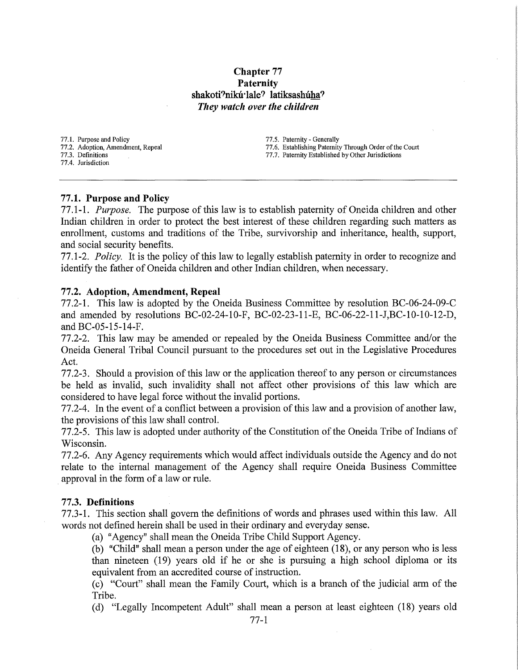# **Chapter 77 Paternity**  shakoti?nikú·lale? latiksashúha? *They watch over the children*

77 .1. Purpose and Policy

77.2. Adoption, Amendment, Repeal 77.3. Definitions

77.4. Jurisdiction

77.5. Paternity- Generally 77.6. Establishing Paternity Through Order of the Court 77.7. Paternity Established by Other Jurisdictions

# **77.1. Purpose and Policy**

77.1-1. *Purpose.* The purpose of this law is to establish paternity of Oneida children and other Indian children in order to protect the best interest of these children regarding such matters as emollment, customs and traditions of the Tribe, survivorship and inheritance, health, support, and social security benefits.

77.1-2. *Policy.* It is the policy of this law to legally establish paternity in order to recognize and identify the father of Oneida children and other Indian children, when necessary.

# **77.2. Adoption, Amendment, Repeal**

77.2-1. This law is adopted by the Oneida Business Committee by resolution BC-06-24-09-C and amended by resolutions BC-02-24-10-F, BC-02-23-11-E, BC-06-22-11-J,BC-10-10-12-D, and BC-05-15-14-F.

77.2-2. This law may be amended or repealed by the Oneida Business Committee and/or the Oneida General Tribal Council pursuant to the procedures set out in the Legislative Procedures Act.

77.2-3. Should a provision of this law or the application thereof to any person or circumstances be held as invalid, such invalidity shall not affect other provisions of this law which are considered to have legal force without the invalid portions.

77.2-4. In the event of a conflict between a provision of this law and a provision of another law, the provisions of this law shall control.

77.2-5. This law is adopted under authority of the Constitution of the Oneida Tribe of Indians of Wisconsin.

77.2-6. Any Agency requirements which would affect individuals outside the Agency and do not relate to the internal management of the Agency shall require Oneida Business Committee approval in the form of a law or rule.

#### **77.3. Definitions**

77.3-1. This section shall govern the definitions of words and phrases used within this law. All words not defined herein shall be used in their ordinary and everyday sense.

(a) "Agency" shall mean the Oneida Tribe Child Support Agency.

(b) "Child" shall mean a person under the age of eighteen (18), or any person who is less than nineteen (19) years old if he or she is pursuing a high school diploma or its equivalent from an accredited course of instruction.

(c) "Court" shall mean the Family Court, which is a branch of the judicial arm of the Tribe.

(d) "Legally Incompetent Adult" shall mean a person at least eighteen (18) years old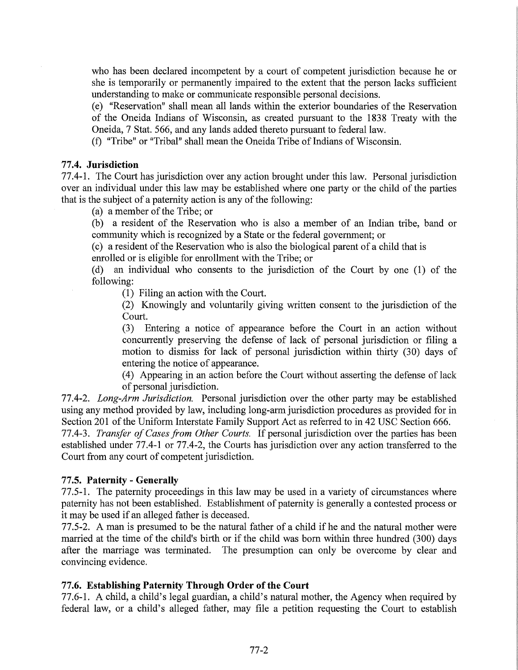who has been declared incompetent by a court of competent jurisdiction because he or she is temporarily or permanently impaired to the extent that the person lacks sufficient understanding to make or communicate responsible personal decisions.

(e) "Reservation" shall mean all lands within the exterior boundaries of the Reservation of the Oneida Indians of Wisconsin, as created pursuant to the 1838 Treaty with the Oneida, 7 Stat. 566, and any lands added thereto pursuant to federal law.

(f) "Tribe" or "Tribal" shall mean the Oneida Tribe of Indians of Wisconsin.

# **77.4. Jurisdiction**

77.4-1. The Court has jurisdiction over any action brought under this law. Personal jurisdiction over an individual under this law may be established where one party or the child of the parties that is the subject of a paternity action is any of the following:

(a) a member of the Tribe; or

(b) a resident of the Reservation who is also a member of an Indian tribe, band or community which is recognized by a State or the federal government; or

(c) a resident of the Reservation who is also the biological parent of a child that is enrolled or is eligible for enrollment with the Tribe; or

(d) an individual who consents to the jurisdiction of the Court by one (1) of the following:

(1) Filing an action with the Court.

(2) Knowingly and voluntarily giving written consent to the jurisdiction of the Court.

(3) Entering a notice of appearance before the Court in an action without concurrently preserving the defense of lack of personal jurisdiction or filing a motion to dismiss for lack of personal jurisdiction within thirty (30) days of entering the notice of appearance.

( 4) Appearing in an action before the Court without asserting the defense of lack of personal jurisdiction.

77.4-2. *Long-Arm Jurisdiction.* Personal jurisdiction over the other party may be established using any method provided by law, including long-arm jurisdiction procedures as provided for in Section 201 of the Uniform Interstate Family Support Act as referred to in 42 USC Section 666.

77.4-3. *Transfer of Cases from Other Courts.* If personal jurisdiction over the parties has been established under 77.4-1 or 77.4-2, the Courts has jurisdiction over any action transferred to the Court from any court of competent jurisdiction.

# **77.5. Paternity- Generally**

77.5-1. The paternity proceedings in this law may be used in a variety of circumstances where paternity has not been established. Establishment of paternity is generally a contested process or it may be used if an alleged father is deceased.

77.5-2. A man is presumed to be the natural father of a child if he and the natural mother were married at the time of the child's birth or if the child was born within three hundred (300) days after the marriage was terminated. The presumption can only be overcome by clear and convincing evidence.

# **77.6. Establishing Paternity Through Order of the Court**

77.6-1. A child, a child's legal guardian, a child's natural mother, the Agency when required by federal law, or a child's alleged father, may file a petition requesting the Court to establish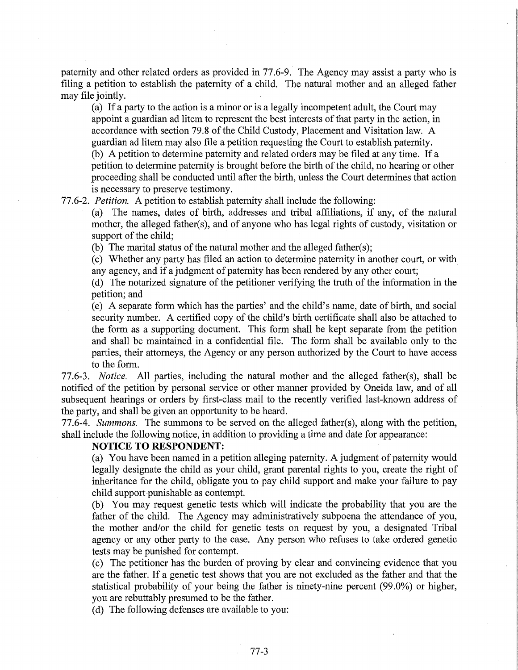paternity and other related orders as provided in 77.6-9. The Agency may assist a party who is filing a petition to establish the paternity of a child. The natural mother and an alleged father may file jointly.

(a) If a party to the action is a minor or is a legally incompetent adult, the Court may appoint a guardian ad litem to represent the best interests of that party in the action, in accordance with section 79.8 of the Child Custody, Placement and Visitation law. A guardian ad litem may also file a petition requesting the Court to establish paternity. (b) A petition to determine paternity and related orders may be filed at any time. If a petition to determine paternity is brought before the birth of the child, no hearing or other proceeding shall be conducted until after the birth, unless the Court determines that action is necessary to preserve testimony.

77.6-2. *Petition.* A petition to establish paternity shall include the following:

(a) The names, dates of birth, addresses and tribal affiliations, if any, of the natural mother, the alleged father(s), and of anyone who has legal rights of custody, visitation or support of the child;

(b) The marital status of the natural mother and the alleged father(s);

(c) Whether any party has filed an action to determine paternity in another court, or with any agency, and if a judgment of paternity has been rendered by any other court;

(d) The notarized signature of the petitioner verifying the truth of the information in the petition; and

(e) A separate form which has the parties' and the child's name, date of birth, and social security number. A certified copy of the child's birth certificate shall also be attached to the form as a supporting document. This form shall be kept separate from the petition and shall be maintained in a confidential file. The form shall be available only to the parties, their attorneys, the Agency or any person authorized by the Court to have access to the form.

77.6-3. *Notice.* All parties, including the natural mother and the alleged father(s), shall be notified of the petition by personal service or other manner provided by Oneida law, and of all subsequent hearings or orders by first-class mail to the recently verified last-known address of the party, and shall be given an opportunity to be heard.

77.6-4. *Summons.* The summons to be served on the alleged father(s), along with the petition, shall include the following notice, in addition to providing a time and date for appearance:

#### **NOTICE TO RESPONDENT:**

(a) You have been named in a petition alleging paternity. A judgment of paternity would legally designate the child as your child, grant parental rights to you, create the right of inheritance for the child, obligate you to pay child support and make your failure to pay child support punishable as contempt.

(b) You may request genetic tests which will indicate the probability that you are the father of the child. The Agency may administratively subpoena the attendance of you, the mother and/or the child for genetic tests on request by you, a designated Tribal agency or any other party to the case. Any person who refuses to take ordered genetic tests may be punished for contempt.

(c) The petitioner has the burden of proving by clear and convincing evidence that you are the father. If a genetic test shows that you are not excluded as the father and that the statistical probability of your being the father is ninety-nine percent (99.0%) or higher, you are rebuttably presumed to be the father.

(d) The following defenses are available to you: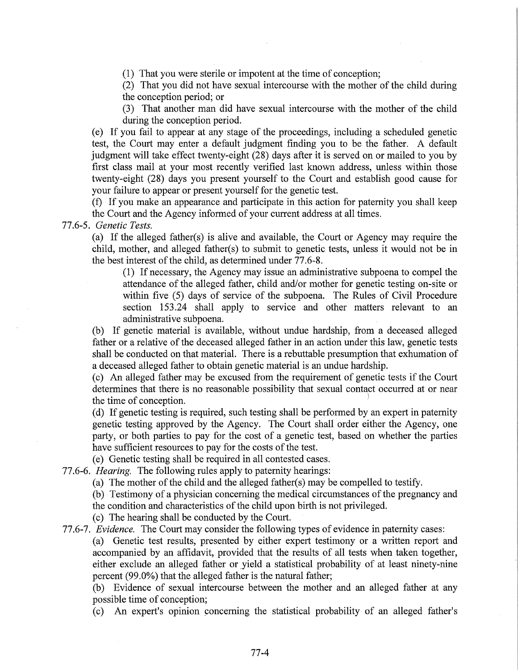(1) That you were sterile or impotent at the time of conception;

(2) That you did not have sexual intercourse with the mother of the child during the conception period; or

(3) That another man did have sexual intercourse with the mother of the child during the conception period.

(e) If you fail to appear at any stage of the proceedings, including a scheduled genetic test, the Court may enter a default judgment finding you to be the father. A default judgment will take effect twenty-eight (28) days after it is served on or mailed to you by first class mail at your most recently verified last known address, unless within those twenty-eight (28) days you present yourself to the Court and establish good cause for your failure to appear or present yourself for the genetic test.

(f) If you make an appearance and participate in this action for paternity you shall keep the Court and the Agency informed of your current address at all times.

# 77.6-5. *Genetic Tests.*

(a) If the alleged father(s) is alive and available, the Court or Agency may require the child, mother, and alleged father(s) to submit to genetic tests, unless it would not be in the best interest of the child, as determined under 77.6-8.

(1) If necessary, the Agency may issue an administrative subpoena to compel the attendance of the alleged father, child and/or mother for genetic testing on-site or within five (5) days of service of the subpoena. The Rules of Civil Procedure section 153.24 shall apply to service and other matters relevant to an administrative subpoena.

(b) If genetic material is available, without undue hardship, from a deceased alleged father or a relative of the deceased alleged father in an action under this law, genetic tests shall be conducted on that material. There is a rebuttable presumption that exhumation of a deceased alleged father to obtain genetic material is an undue hardship.

(c) An alleged father may be excused from the requirement of genetic tests if the Court determines that there is no reasonable possibility that sexual contact occurred at or near the time of conception.

(d) If genetic testing is required, such testing shall be performed by an expert in paternity genetic testing approved by the Agency. The Court shall order either the Agency, one party, or both parties to pay for the cost of a genetic test, based on whether the parties have sufficient resources to pay for the costs of the test.

(e) Genetic testing shall be required in all contested cases.

77.6-6. *Hearing.* The following rules apply to paternity hearings:

(a) The mother of the child and the alleged father(s) may be compelled to testify.

(b) Testimony of a physician concerning the medical circumstances of the pregnancy and

the condition and characteristics of the child upon birth is not privileged.

(c) The hearing shall be conducted by the Court.

77.6-7. *Evidence.* The Court may consider the following types of evidence in paternity cases: (a) Genetic test results, presented by either expert testimony or a written report and accompanied by an affidavit, provided that the results of all tests when taken together, either exclude an alleged father or yield a statistical probability of at least ninety-nine

percent (99.0%) that the alleged father is the natural father;

(b) Evidence of sexual intercourse between the mother and an alleged father at any possible time of conception;

(c) An expert's opinion concerning the statistical probability of an alleged father's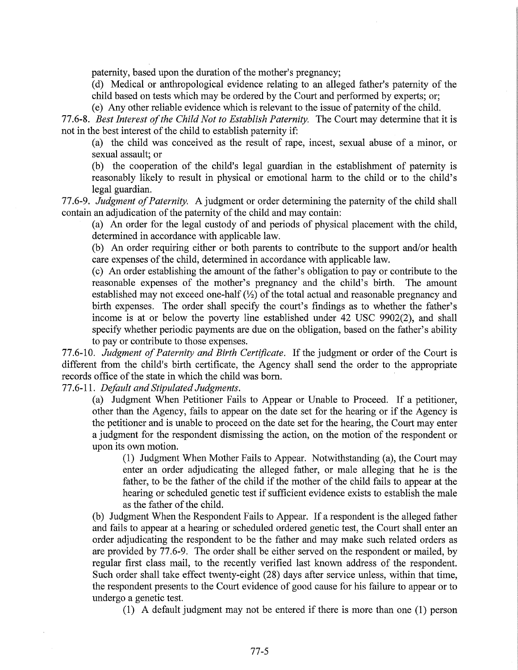paternity, based upon the duration of the mother's pregnancy;

(d) Medical or anthropological evidence relating to an alleged father's paternity of the child based on tests which may be ordered by the Court and performed by experts; or;

(e) Any other reliable evidence which is relevant to the issue of paternity of the child.

77.6-8. *Best Interest of the Child Not to Establish Paternity.* The Court may determine that it is not in the best interest of the child to establish paternity if:

(a) the child was conceived as the result of rape, incest, sexual abuse of a minor, or sexual assault; or

(b) the cooperation of the child's legal guardian in the establishment of paternity is reasonably likely to result in physical or emotional harm to the child or to the child's legal guardian.

77.6-9. *Judgment of Paternity.* A judgment or order determining the paternity of the child shall contain an adjudication of the paternity of the child and may contain:

(a) An order for the legal custody of and periods of physical placement with the child, determined in accordance with applicable law.

(b) An order requiring either or both parents to contribute to the support and/or health care expenses of the child, determined in accordance with applicable law.

(c) An order establishing the amount of the father's obligation to pay or contribute to the reasonable expenses of the mother's pregnancy and the child's birth. The amount established may not exceed one-half  $(\frac{1}{2})$  of the total actual and reasonable pregnancy and birth expenses. The order shall specify the court's findings as to whether the father's income is at or below the poverty line established under 42 USC 9902(2), and shall specify whether periodic payments are due on the obligation, based on the father's ability to pay or contribute to those expenses.

77.6-10. *Judgment of Paternity and Birth Certificate.* If the judgment or order of the Court is different from the child's birth certificate, the Agency shall send the order to the appropriate records office of the state in which the child was born.

77.6-11. *Default and Stipulated Judgments.* 

(a) Judgment When Petitioner Fails to Appear or Unable to Proceed. If a petitioner, other than the Agency, fails to appear on the date set for the hearing or if the Agency is the petitioner and is unable to proceed on the date set for the hearing, the Court may enter a judgment for the respondent dismissing the action, on the motion of the respondent or upon its own motion.

(1) Judgment When Mother Fails to Appear. Notwithstanding (a), the Court may enter an order adjudicating the alleged father, or male alleging that he is the father, to be the father of the child if the mother of the child fails to appear at the hearing or scheduled genetic test if sufficient evidence exists to establish the male as the father of the child.

(b) Judgment When the Respondent Fails to Appear. If a respondent is the alleged father and fails to appear at a hearing or scheduled ordered genetic test, the Court shall enter an order adjudicating the respondent to be the father and may make such related orders as are provided by 77.6-9. The order shall be either served on the respondent or mailed, by regular first class mail, to the recently verified last known address of the respondent. Such order shall take effect twenty-eight (28) days after service unless, within that time, the respondent presents to the Court evidence of good cause for his failure to appear or to undergo a genetic test.

(1) A default judgment may not be entered if there is more than one (1) person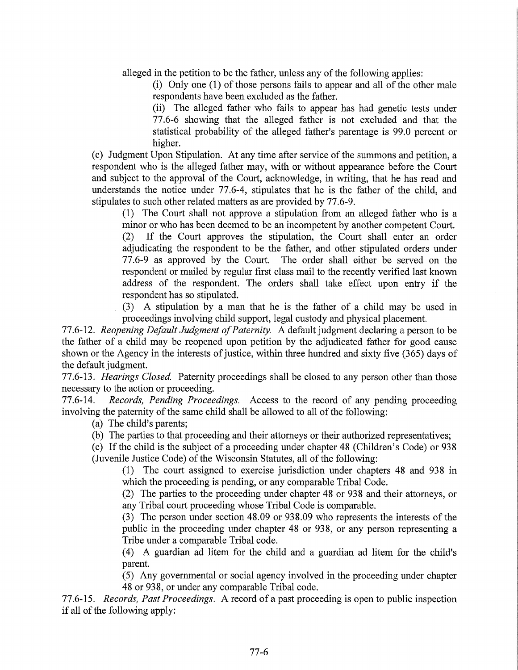alleged in the petition to be the father, unless any of the following applies:

(i) Only one (1) of those persons fails to appear and all of the other male respondents have been excluded as the father.

(ii) The alleged father who fails to appear has had genetic tests under 77.6-6 showing that the alleged father is not excluded and that the statistical probability of the alleged father's parentage is 99.0 percent or higher.

(c) Judgment Upon Stipulation. At any time after service of the summons and petition, a respondent who is the alleged father may, with or without appearance before the Court and subject to the approval of the Court, acknowledge, in writing, that he has read and understands the notice under 77.6-4, stipulates that he is the father of the child, and stipulates to such other related matters as are provided by 77.6-9.

(1) The Court shall not approve a stipulation from an alleged father who is a minor or who has been deemed to be an incompetent by another competent Court.

(2) If the Court approves the stipulation, the Court shall enter an order adjudicating the respondent to be the father, and other stipulated orders under 77.6-9 as approved by the Court. The order shall either be served on the respondent or mailed by regular first class mail to the recently verified last known address of the respondent. The orders shall take effect upon entry if the respondent has so stipulated.

(3) A stipulation by a man that he is the father of a child may be used in proceedings involving child support, legal custody and physical placement.

77.6-12. *Reopening Default Judgment of Paternity.* A default judgment declaring a person to be the father of a child may be reopened upon petition by the adjudicated father for good cause shown or the Agency in the interests of justice, within three hundred and sixty five (365) days of the default judgment.

77.6-13. *Hearings Closed.* Paternity proceedings shall be closed to any person other than those necessary to the action or proceeding.

77.6-14. *Records, Pending Proceedings.* Access to the record of any pending proceeding involving the paternity of the same child shall be allowed to all of the following:

(a) The child's parents;

(b) The parties to that proceeding and their attorneys or their authorized representatives;

(c) If the child is the subject of a proceeding under chapter 48 (Children's Code) or 938 (Juvenile Justice Code) of the Wisconsin Statutes, all of the following:

(1) The court assigned to exercise jurisdiction under chapters 48 and 938 in which the proceeding is pending, or any comparable Tribal Code.

(2) The parties to the proceeding under chapter 48 or 938 and their attorneys, or any Tribal court proceeding whose Tribal Code is comparable.

(3) The person under section 48.09 or 938.09 who represents the interests of the public in the proceeding under chapter 48 or 938, or any person representing a Tribe under a comparable Tribal code.

(4) A guardian ad litem for the child and a guardian ad litem for the child's parent.

( 5) Any governmental or social agency involved in the proceeding under chapter 48 or 938, or under any comparable Tribal code.

77.6-15. *Records, Past Proceedings.* A record of a past proceeding is open to public inspection if all of the following apply: